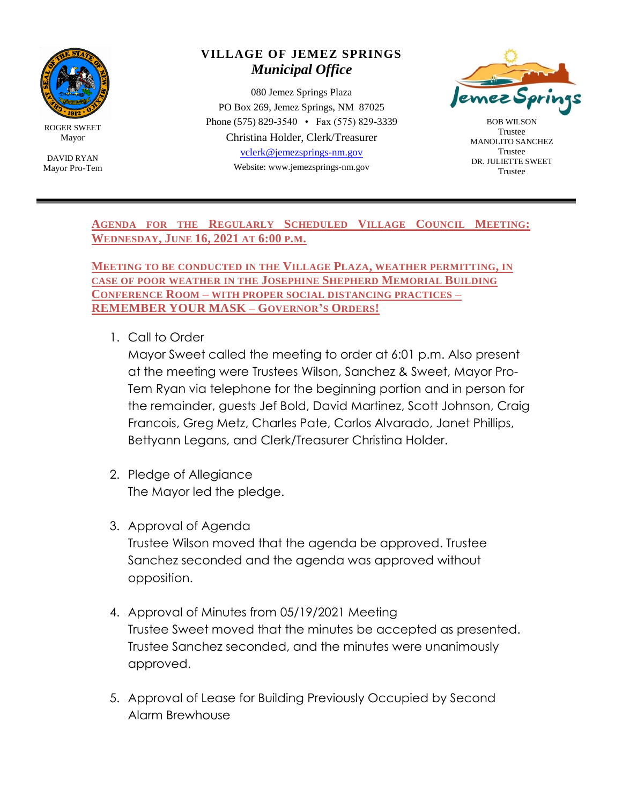

ROGER SWEET Mayor

DAVID RYAN Mayor Pro-Tem

## **VILLAGE OF JEMEZ SPRINGS** *Municipal Office*

080 Jemez Springs Plaza PO Box 269, Jemez Springs, NM 87025 Phone (575) 829-3540 • Fax (575) 829-3339 Christina Holder, Clerk/Treasurer [vclerk@jemezsprings-nm.gov](mailto:vclerk@jemezsprings-nm.gov) Website: www.jemezsprings-nm.gov



BOB WILSON Trustee MANOLITO SANCHEZ Trustee DR. JULIETTE SWEET Trustee

**AGENDA FOR THE REGULARLY SCHEDULED VILLAGE COUNCIL MEETING: WEDNESDAY, JUNE 16, 2021 AT 6:00 P.M.**

**MEETING TO BE CONDUCTED IN THE VILLAGE PLAZA, WEATHER PERMITTING, IN CASE OF POOR WEATHER IN THE JOSEPHINE SHEPHERD MEMORIAL BUILDING CONFERENCE ROOM – WITH PROPER SOCIAL DISTANCING PRACTICES – REMEMBER YOUR MASK – GOVERNOR'S ORDERS!**

1. Call to Order

Mayor Sweet called the meeting to order at 6:01 p.m. Also present at the meeting were Trustees Wilson, Sanchez & Sweet, Mayor Pro-Tem Ryan via telephone for the beginning portion and in person for the remainder, guests Jef Bold, David Martinez, Scott Johnson, Craig Francois, Greg Metz, Charles Pate, Carlos Alvarado, Janet Phillips, Bettyann Legans, and Clerk/Treasurer Christina Holder.

- 2. Pledge of Allegiance The Mayor led the pledge.
- 3. Approval of Agenda Trustee Wilson moved that the agenda be approved. Trustee Sanchez seconded and the agenda was approved without opposition.
- 4. Approval of Minutes from 05/19/2021 Meeting Trustee Sweet moved that the minutes be accepted as presented. Trustee Sanchez seconded, and the minutes were unanimously approved.
- 5. Approval of Lease for Building Previously Occupied by Second Alarm Brewhouse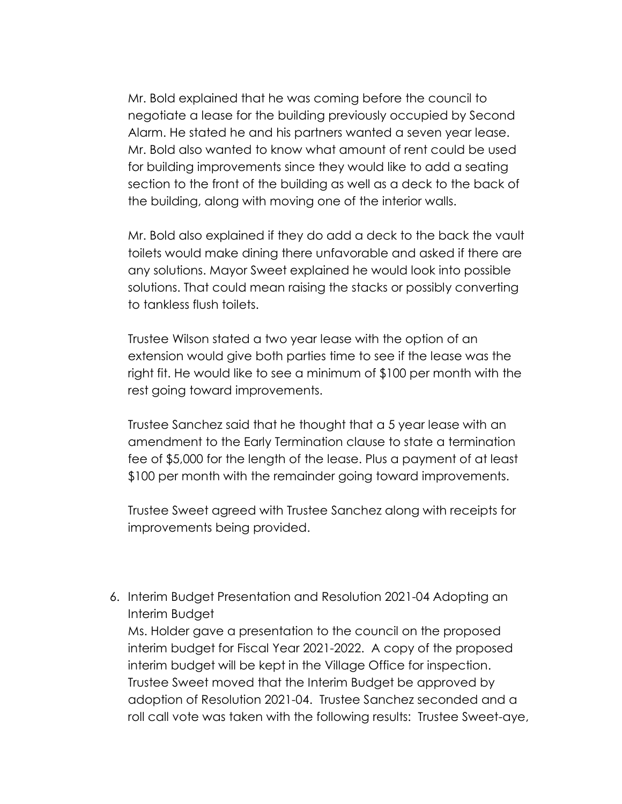Mr. Bold explained that he was coming before the council to negotiate a lease for the building previously occupied by Second Alarm. He stated he and his partners wanted a seven year lease. Mr. Bold also wanted to know what amount of rent could be used for building improvements since they would like to add a seating section to the front of the building as well as a deck to the back of the building, along with moving one of the interior walls.

Mr. Bold also explained if they do add a deck to the back the vault toilets would make dining there unfavorable and asked if there are any solutions. Mayor Sweet explained he would look into possible solutions. That could mean raising the stacks or possibly converting to tankless flush toilets.

Trustee Wilson stated a two year lease with the option of an extension would give both parties time to see if the lease was the right fit. He would like to see a minimum of \$100 per month with the rest going toward improvements.

Trustee Sanchez said that he thought that a 5 year lease with an amendment to the Early Termination clause to state a termination fee of \$5,000 for the length of the lease. Plus a payment of at least \$100 per month with the remainder going toward improvements.

Trustee Sweet agreed with Trustee Sanchez along with receipts for improvements being provided.

6. Interim Budget Presentation and Resolution 2021-04 Adopting an Interim Budget

Ms. Holder gave a presentation to the council on the proposed interim budget for Fiscal Year 2021-2022. A copy of the proposed interim budget will be kept in the Village Office for inspection. Trustee Sweet moved that the Interim Budget be approved by adoption of Resolution 2021-04. Trustee Sanchez seconded and a roll call vote was taken with the following results: Trustee Sweet-aye,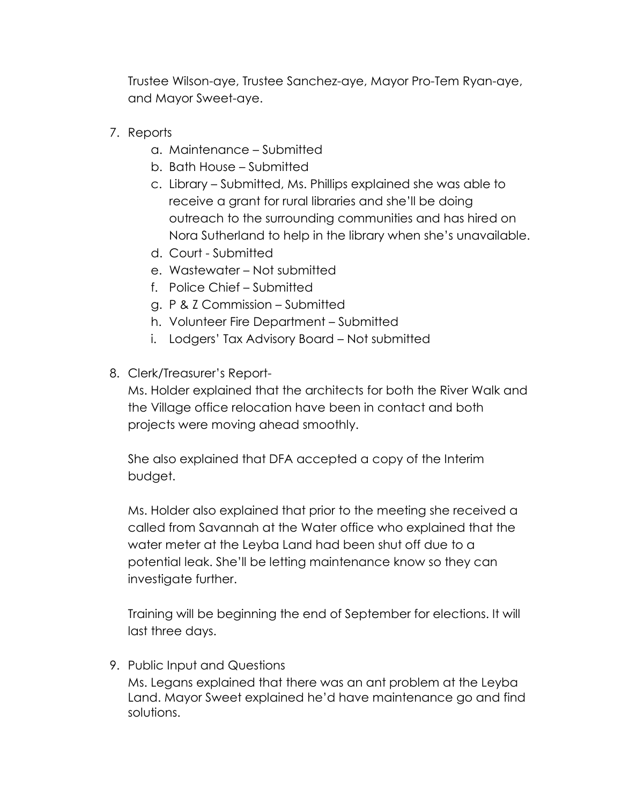Trustee Wilson-aye, Trustee Sanchez-aye, Mayor Pro-Tem Ryan-aye, and Mayor Sweet-aye.

- 7. Reports
	- a. Maintenance Submitted
	- b. Bath House Submitted
	- c. Library Submitted, Ms. Phillips explained she was able to receive a grant for rural libraries and she'll be doing outreach to the surrounding communities and has hired on Nora Sutherland to help in the library when she's unavailable.
	- d. Court Submitted
	- e. Wastewater Not submitted
	- f. Police Chief Submitted
	- g. P & Z Commission Submitted
	- h. Volunteer Fire Department Submitted
	- i. Lodgers' Tax Advisory Board Not submitted
- 8. Clerk/Treasurer's Report-

Ms. Holder explained that the architects for both the River Walk and the Village office relocation have been in contact and both projects were moving ahead smoothly.

She also explained that DFA accepted a copy of the Interim budget.

Ms. Holder also explained that prior to the meeting she received a called from Savannah at the Water office who explained that the water meter at the Leyba Land had been shut off due to a potential leak. She'll be letting maintenance know so they can investigate further.

Training will be beginning the end of September for elections. It will last three days.

9. Public Input and Questions

Ms. Legans explained that there was an ant problem at the Leyba Land. Mayor Sweet explained he'd have maintenance go and find solutions.